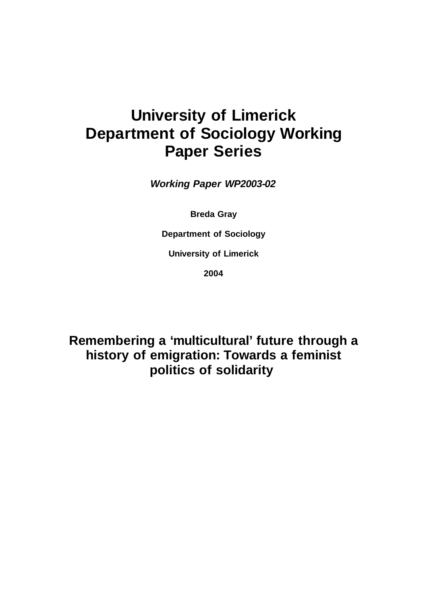# **University of Limerick Department of Sociology Working Paper Series**

**Working Paper WP2003-02**

**Breda Gray**

**Department of Sociology**

**University of Limerick**

**2004**

**Remembering a 'multicultural' future through a history of emigration: Towards a feminist politics of solidarity**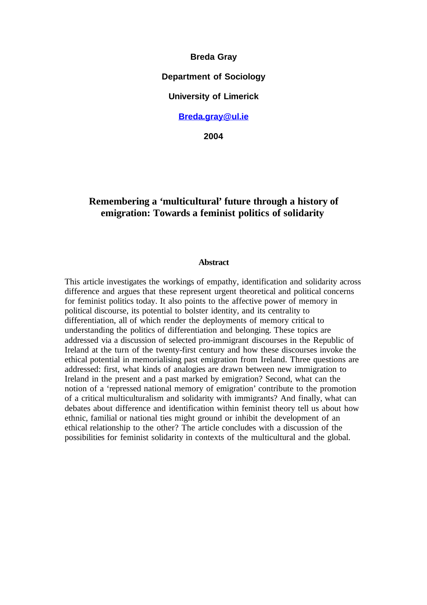**Breda Gray**

**Department of Sociology**

**University of Limerick**

# **Breda.gray@ul.ie**

**2004**

# **Remembering a 'multicultural' future through a history of emigration: Towards a feminist politics of solidarity**

## **Abstract**

This article investigates the workings of empathy, identification and solidarity across difference and argues that these represent urgent theoretical and political concerns for feminist politics today. It also points to the affective power of memory in political discourse, its potential to bolster identity, and its centrality to differentiation, all of which render the deployments of memory critical to understanding the politics of differentiation and belonging. These topics are addressed via a discussion of selected pro-immigrant discourses in the Republic of Ireland at the turn of the twenty-first century and how these discourses invoke the ethical potential in memorialising past emigration from Ireland. Three questions are addressed: first, what kinds of analogies are drawn between new immigration to Ireland in the present and a past marked by emigration? Second, what can the notion of a 'repressed national memory of emigration' contribute to the promotion of a critical multiculturalism and solidarity with immigrants? And finally, what can debates about difference and identification within feminist theory tell us about how ethnic, familial or national ties might ground or inhibit the development of an ethical relationship to the other? The article concludes with a discussion of the possibilities for feminist solidarity in contexts of the multicultural and the global.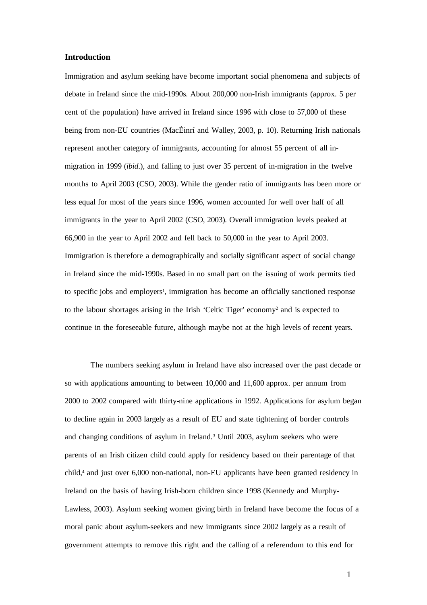# **Introduction**

Immigration and asylum seeking have become important social phenomena and subjects of debate in Ireland since the mid-1990s. About 200,000 non-Irish immigrants (approx. 5 per cent of the population) have arrived in Ireland since 1996 with close to 57,000 of these being from non-EU countries (MacÉinrí and Walley, 2003, p. 10). Returning Irish nationals represent another category of immigrants, accounting for almost 55 percent of all inmigration in 1999 (*ibid*.), and falling to just over 35 percent of in-migration in the twelve months to April 2003 (CSO, 2003). While the gender ratio of immigrants has been more or less equal for most of the years since 1996, women accounted for well over half of all immigrants in the year to April 2002 (CSO, 2003). Overall immigration levels peaked at 66,900 in the year to April 2002 and fell back to 50,000 in the year to April 2003. Immigration is therefore a demographically and socially significant aspect of social change in Ireland since the mid-1990s. Based in no small part on the issuing of work permits tied to specific jobs and employers 1 , immigration has become an officially sanctioned response to the labour shortages arising in the Irish 'Celtic Tiger' economy <sup>2</sup> and is expected to continue in the foreseeable future, although maybe not at the high levels of recent years.

The numbers seeking asylum in Ireland have also increased over the past decade or so with applications amounting to between 10,000 and 11,600 approx. per annum from 2000 to 2002 compared with thirty-nine applications in 1992. Applications for asylum began to decline again in 2003 largely as a result of EU and state tightening of border controls and changing conditions of asylum in Ireland. <sup>3</sup> Until 2003, asylum seekers who were parents of an Irish citizen child could apply for residency based on their parentage of that child, <sup>4</sup> and just over 6,000 non-national, non-EU applicants have been granted residency in Ireland on the basis of having Irish-born children since 1998 (Kennedy and Murphy-Lawless, 2003). Asylum seeking women giving birth in Ireland have become the focus of a moral panic about asylum-seekers and new immigrants since 2002 largely as a result of government attempts to remove this right and the calling of a referendum to this end for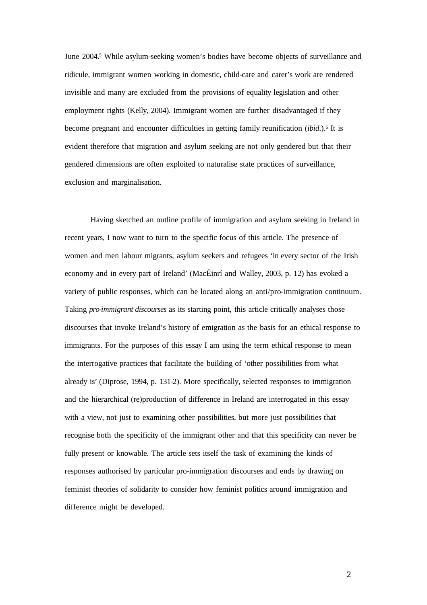June 2004. <sup>5</sup> While asylum-seeking women's bodies have become objects of surveillance and ridicule, immigrant women working in domestic, child-care and carer's work are rendered invisible and many are excluded from the provisions of equality legislation and other employment rights (Kelly, 2004). Immigrant women are further disadvantaged if they become pregnant and encounter difficulties in getting family reunification (*ibid*.). 6 It is evident therefore that migration and asylum seeking are not only gendered but that their gendered dimensions are often exploited to naturalise state practices of surveillance, exclusion and marginalisation.

Having sketched an outline profile of immigration and asylum seeking in Ireland in recent years, I now want to turn to the specific focus of this article. The presence of women and men labour migrants, asylum seekers and refugees 'in every sector of the Irish economy and in every part of Ireland' (MacÉinrí and Walley, 2003, p. 12) has evoked a variety of public responses, which can be located along an anti/pro-immigration continuum. Taking *pro-immigrant discourses* as its starting point, this article critically analyses those discourses that invoke Ireland's history of emigration as the basis for an ethical response to immigrants. For the purposes of this essay I am using the term ethical response to mean the interrogative practices that facilitate the building of 'other possibilities from what already is' (Diprose, 1994, p. 131-2). More specifically, selected responses to immigration and the hierarchical (re)production of difference in Ireland are interrogated in this essay with a view, not just to examining other possibilities, but more just possibilities that recognise both the specificity of the immigrant other and that this specificity can never be fully present or knowable. The article sets itself the task of examining the kinds of responses authorised by particular pro-immigration discourses and ends by drawing on feminist theories of solidarity to consider how feminist politics around immigration and difference might be developed.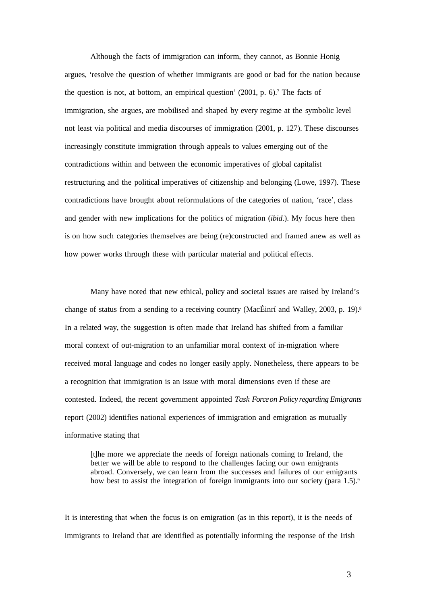Although the facts of immigration can inform, they cannot, as Bonnie Honig argues, 'resolve the question of whether immigrants are good or bad for the nation because the question is not, at bottom, an empirical question' (2001, p. 6). <sup>7</sup> The facts of immigration, she argues, are mobilised and shaped by every regime at the symbolic level not least via political and media discourses of immigration (2001, p. 127). These discourses increasingly constitute immigration through appeals to values emerging out of the contradictions within and between the economic imperatives of global capitalist restructuring and the political imperatives of citizenship and belonging (Lowe, 1997). These contradictions have brought about reformulations of the categories of nation, 'race', class and gender with new implications for the politics of migration (*ibid*.). My focus here then is on how such categories themselves are being (re)constructed and framed anew as well as how power works through these with particular material and political effects.

Many have noted that new ethical, policy and societal issues are raised by Ireland's change of status from a sending to a receiving country (MacÉinrí and Walley, 2003, p. 19). 8 In a related way, the suggestion is often made that Ireland has shifted from a familiar moral context of out-migration to an unfamiliar moral context of in-migration where received moral language and codes no longer easily apply. Nonetheless, there appears to be a recognition that immigration is an issue with moral dimensions even if these are contested. Indeed, the recent government appointed *Task Forceon Policy regarding Emigrants* report (2002) identifies national experiences of immigration and emigration as mutually informative stating that

[t]he more we appreciate the needs of foreign nationals coming to Ireland, the better we will be able to respond to the challenges facing our own emigrants abroad. Conversely, we can learn from the successes and failures of our emigrants how best to assist the integration of foreign immigrants into our society (para 1.5).<sup>9</sup>

It is interesting that when the focus is on emigration (as in this report), it is the needs of immigrants to Ireland that are identified as potentially informing the response of the Irish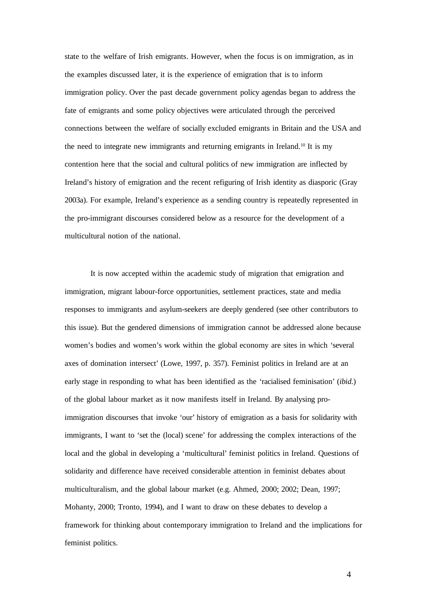state to the welfare of Irish emigrants. However, when the focus is on immigration, as in the examples discussed later, it is the experience of emigration that is to inform immigration policy. Over the past decade government policy agendas began to address the fate of emigrants and some policy objectives were articulated through the perceived connections between the welfare of socially excluded emigrants in Britain and the USA and the need to integrate new immigrants and returning emigrants in Ireland.<sup>10</sup> It is my contention here that the social and cultural politics of new immigration are inflected by Ireland's history of emigration and the recent refiguring of Irish identity as diasporic (Gray 2003a). For example, Ireland's experience as a sending country is repeatedly represented in the pro-immigrant discourses considered below as a resource for the development of a multicultural notion of the national.

It is now accepted within the academic study of migration that emigration and immigration, migrant labour-force opportunities, settlement practices, state and media responses to immigrants and asylum-seekers are deeply gendered (see other contributors to this issue). But the gendered dimensions of immigration cannot be addressed alone because women's bodies and women's work within the global economy are sites in which 'several axes of domination intersect' (Lowe, 1997, p. 357). Feminist politics in Ireland are at an early stage in responding to what has been identified as the 'racialised feminisation' (*ibid*.) of the global labour market as it now manifests itself in Ireland. By analysing proimmigration discourses that invoke 'our' history of emigration as a basis for solidarity with immigrants, I want to 'set the (local) scene' for addressing the complex interactions of the local and the global in developing a 'multicultural' feminist politics in Ireland. Questions of solidarity and difference have received considerable attention in feminist debates about multiculturalism, and the global labour market (e.g. Ahmed, 2000; 2002; Dean, 1997; Mohanty, 2000; Tronto, 1994), and I want to draw on these debates to develop a framework for thinking about contemporary immigration to Ireland and the implications for feminist politics.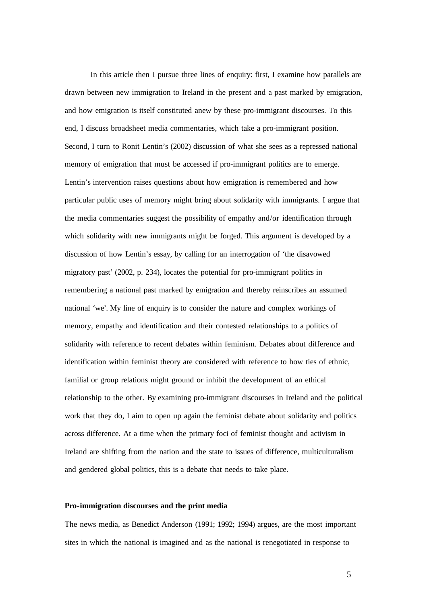In this article then I pursue three lines of enquiry: first, I examine how parallels are drawn between new immigration to Ireland in the present and a past marked by emigration, and how emigration is itself constituted anew by these pro-immigrant discourses. To this end, I discuss broadsheet media commentaries, which take a pro-immigrant position. Second, I turn to Ronit Lentin's (2002) discussion of what she sees as a repressed national memory of emigration that must be accessed if pro-immigrant politics are to emerge. Lentin's intervention raises questions about how emigration is remembered and how particular public uses of memory might bring about solidarity with immigrants. I argue that the media commentaries suggest the possibility of empathy and/or identification through which solidarity with new immigrants might be forged. This argument is developed by a discussion of how Lentin's essay, by calling for an interrogation of 'the disavowed migratory past' (2002, p. 234), locates the potential for pro-immigrant politics in remembering a national past marked by emigration and thereby reinscribes an assumed national 'we'. My line of enquiry is to consider the nature and complex workings of memory, empathy and identification and their contested relationships to a politics of solidarity with reference to recent debates within feminism. Debates about difference and identification within feminist theory are considered with reference to how ties of ethnic, familial or group relations might ground or inhibit the development of an ethical relationship to the other. By examining pro-immigrant discourses in Ireland and the political work that they do, I aim to open up again the feminist debate about solidarity and politics across difference. At a time when the primary foci of feminist thought and activism in Ireland are shifting from the nation and the state to issues of difference, multiculturalism and gendered global politics, this is a debate that needs to take place.

## **Pro-immigration discourses and the print media**

The news media, as Benedict Anderson (1991; 1992; 1994) argues, are the most important sites in which the national is imagined and as the national is renegotiated in response to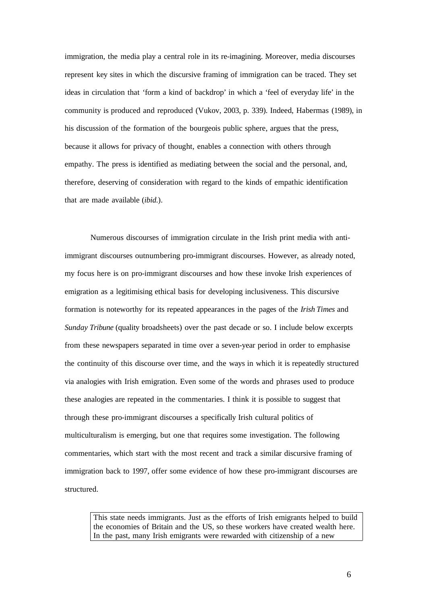immigration, the media play a central role in its re-imagining. Moreover, media discourses represent key sites in which the discursive framing of immigration can be traced. They set ideas in circulation that 'form a kind of backdrop' in which a 'feel of everyday life' in the community is produced and reproduced (Vukov, 2003, p. 339). Indeed, Habermas (1989), in his discussion of the formation of the bourgeois public sphere, argues that the press, because it allows for privacy of thought, enables a connection with others through empathy. The press is identified as mediating between the social and the personal, and, therefore, deserving of consideration with regard to the kinds of empathic identification that are made available (*ibid*.).

Numerous discourses of immigration circulate in the Irish print media with antiimmigrant discourses outnumbering pro-immigrant discourses. However, as already noted, my focus here is on pro-immigrant discourses and how these invoke Irish experiences of emigration as a legitimising ethical basis for developing inclusiveness. This discursive formation is noteworthy for its repeated appearances in the pages of the *Irish Times* and *Sunday Tribune* (quality broadsheets) over the past decade or so. I include below excerpts from these newspapers separated in time over a seven-year period in order to emphasise the continuity of this discourse over time, and the ways in which it is repeatedly structured via analogies with Irish emigration. Even some of the words and phrases used to produce these analogies are repeated in the commentaries. I think it is possible to suggest that through these pro-immigrant discourses a specifically Irish cultural politics of multiculturalism is emerging, but one that requires some investigation. The following commentaries, which start with the most recent and track a similar discursive framing of immigration back to 1997, offer some evidence of how these pro-immigrant discourses are structured.

This state needs immigrants. Just as the efforts of Irish emigrants helped to build the economies of Britain and the US, so these workers have created wealth here. In the past, many Irish emigrants were rewarded with citizenship of a new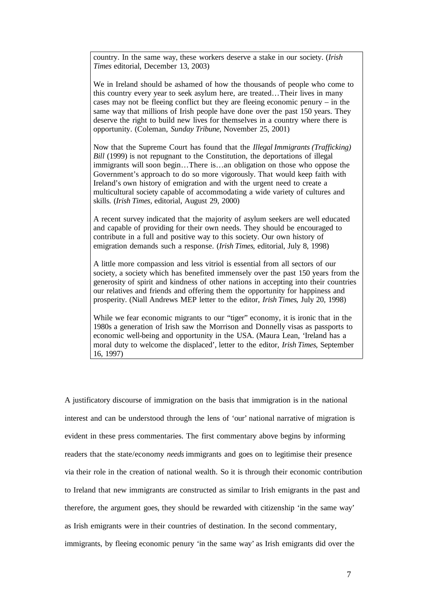country. In the same way, these workers deserve a stake in our society. (*Irish Times* editorial, December 13, 2003)

We in Ireland should be ashamed of how the thousands of people who come to this country every year to seek asylum here, are treated…Their lives in many cases may not be fleeing conflict but they are fleeing economic penury – in the same way that millions of Irish people have done over the past 150 years. They deserve the right to build new lives for themselves in a country where there is opportunity. (Coleman, *Sunday Tribune,* November 25, 2001)

Now that the Supreme Court has found that the *Illegal Immigrants (Trafficking) Bill* (1999) is not repugnant to the Constitution, the deportations of illegal immigrants will soon begin…There is…an obligation on those who oppose the Government's approach to do so more vigorously. That would keep faith with Ireland's own history of emigration and with the urgent need to create a multicultural society capable of accommodating a wide variety of cultures and skills. (*Irish Times,* editorial, August 29, 2000)

A recent survey indicated that the majority of asylum seekers are well educated and capable of providing for their own needs. They should be encouraged to contribute in a full and positive way to this society. Our own history of emigration demands such a response. (*Irish Times*, editorial, July 8, 1998)

A little more compassion and less vitriol is essential from all sectors of our society, a society which has benefited immensely over the past 150 years from the generosity of spirit and kindness of other nations in accepting into their countries our relatives and friends and offering them the opportunity for happiness and prosperity. (Niall Andrews MEP letter to the editor, *Irish Times*, July 20, 1998)

While we fear economic migrants to our "tiger" economy, it is ironic that in the 1980s a generation of Irish saw the Morrison and Donnelly visas as passports to economic well-being and opportunity in the USA. (Maura Lean, 'Ireland has a moral duty to welcome the displaced', letter to the editor, *Irish Times*, September 16, 1997)

A justificatory discourse of immigration on the basis that immigration is in the national interest and can be understood through the lens of 'our' national narrative of migration is evident in these press commentaries. The first commentary above begins by informing readers that the state/economy *needs* immigrants and goes on to legitimise their presence via their role in the creation of national wealth. So it is through their economic contribution to Ireland that new immigrants are constructed as similar to Irish emigrants in the past and therefore, the argument goes, they should be rewarded with citizenship 'in the same way' as Irish emigrants were in their countries of destination. In the second commentary, immigrants, by fleeing economic penury 'in the same way' as Irish emigrants did over the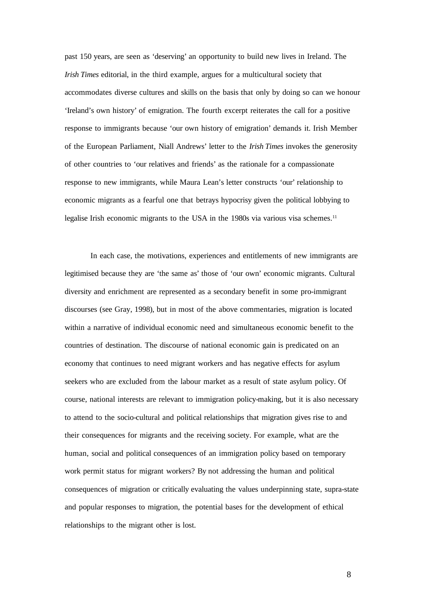past 150 years, are seen as 'deserving' an opportunity to build new lives in Ireland. The *Irish Times* editorial, in the third example, argues for a multicultural society that accommodates diverse cultures and skills on the basis that only by doing so can we honour 'Ireland's own history' of emigration. The fourth excerpt reiterates the call for a positive response to immigrants because 'our own history of emigration' demands it. Irish Member of the European Parliament, Niall Andrews' letter to the *Irish Times* invokes the generosity of other countries to 'our relatives and friends' as the rationale for a compassionate response to new immigrants, while Maura Lean's letter constructs 'our' relationship to economic migrants as a fearful one that betrays hypocrisy given the political lobbying to legalise Irish economic migrants to the USA in the 1980s via various visa schemes.<sup>11</sup>

In each case, the motivations, experiences and entitlements of new immigrants are legitimised because they are 'the same as' those of 'our own' economic migrants. Cultural diversity and enrichment are represented as a secondary benefit in some pro-immigrant discourses (see Gray, 1998), but in most of the above commentaries, migration is located within a narrative of individual economic need and simultaneous economic benefit to the countries of destination. The discourse of national economic gain is predicated on an economy that continues to need migrant workers and has negative effects for asylum seekers who are excluded from the labour market as a result of state asylum policy. Of course, national interests are relevant to immigration policy-making, but it is also necessary to attend to the socio-cultural and political relationships that migration gives rise to and their consequences for migrants and the receiving society. For example, what are the human, social and political consequences of an immigration policy based on temporary work permit status for migrant workers? By not addressing the human and political consequences of migration or critically evaluating the values underpinning state, supra-state and popular responses to migration, the potential bases for the development of ethical relationships to the migrant other is lost.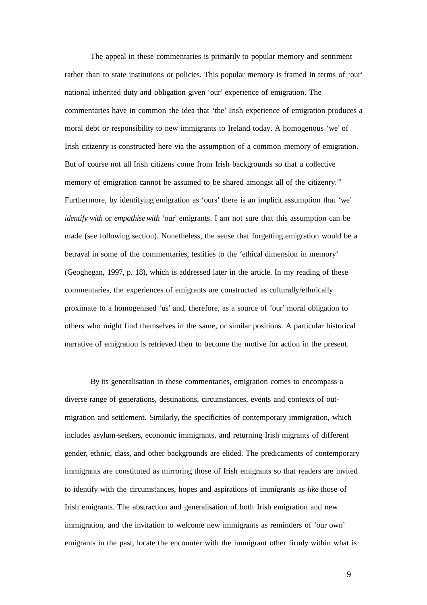The appeal in these commentaries is primarily to popular memory and sentiment rather than to state institutions or policies. This popular memory is framed in terms of 'our' national inherited duty and obligation given 'our' experience of emigration. The commentaries have in common the idea that 'the' Irish experience of emigration produces a moral debt or responsibility to new immigrants to Ireland today. A homogenous 'we' of Irish citizenry is constructed here via the assumption of a common memory of emigration. But of course not all Irish citizens come from Irish backgrounds so that a collective memory of emigration cannot be assumed to be shared amongst all of the citizenry.<sup>12</sup> Furthermore, by identifying emigration as 'ours' there is an implicit assumption that 'we' *identify with* or *empathise with* 'our' emigrants. I am not sure that this assumption can be made (see following section). Nonetheless, the sense that forgetting emigration would be a betrayal in some of the commentaries, testifies to the 'ethical dimension in memory' (Geoghegan, 1997, p. 18), which is addressed later in the article. In my reading of these commentaries, the experiences of emigrants are constructed as culturally/ethnically proximate to a homogenised 'us' and, therefore, as a source of 'our' moral obligation to others who might find themselves in the same, or similar positions. A particular historical narrative of emigration is retrieved then to become the motive for action in the present.

By its generalisation in these commentaries, emigration comes to encompass a diverse range of generations, destinations, circumstances, events and contexts of outmigration and settlement. Similarly, the specificities of contemporary immigration, which includes asylum-seekers, economic immigrants, and returning Irish migrants of different gender, ethnic, class, and other backgrounds are elided. The predicaments of contemporary immigrants are constituted as mirroring those of Irish emigrants so that readers are invited to identify with the circumstances, hopes and aspirations of immigrants as *like* those of Irish emigrants. The abstraction and generalisation of both Irish emigration and new immigration, and the invitation to welcome new immigrants as reminders of 'our own' emigrants in the past, locate the encounter with the immigrant other firmly within what is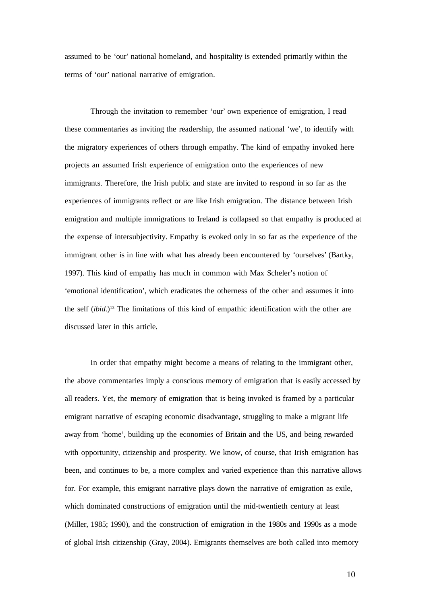assumed to be 'our' national homeland, and hospitality is extended primarily within the terms of 'our' national narrative of emigration.

Through the invitation to remember 'our' own experience of emigration, I read these commentaries as inviting the readership, the assumed national 'we', to identify with the migratory experiences of others through empathy. The kind of empathy invoked here projects an assumed Irish experience of emigration onto the experiences of new immigrants. Therefore, the Irish public and state are invited to respond in so far as the experiences of immigrants reflect or are like Irish emigration. The distance between Irish emigration and multiple immigrations to Ireland is collapsed so that empathy is produced at the expense of intersubjectivity. Empathy is evoked only in so far as the experience of the immigrant other is in line with what has already been encountered by 'ourselves' (Bartky, 1997). This kind of empathy has much in common with Max Scheler's notion of 'emotional identification', which eradicates the otherness of the other and assumes it into the self (*ibid*.) <sup>13</sup> The limitations of this kind of empathic identification with the other are discussed later in this article.

In order that empathy might become a means of relating to the immigrant other, the above commentaries imply a conscious memory of emigration that is easily accessed by all readers. Yet, the memory of emigration that is being invoked is framed by a particular emigrant narrative of escaping economic disadvantage, struggling to make a migrant life away from 'home', building up the economies of Britain and the US, and being rewarded with opportunity, citizenship and prosperity. We know, of course, that Irish emigration has been, and continues to be, a more complex and varied experience than this narrative allows for. For example, this emigrant narrative plays down the narrative of emigration as exile, which dominated constructions of emigration until the mid-twentieth century at least (Miller, 1985; 1990), and the construction of emigration in the 1980s and 1990s as a mode of global Irish citizenship (Gray, 2004). Emigrants themselves are both called into memory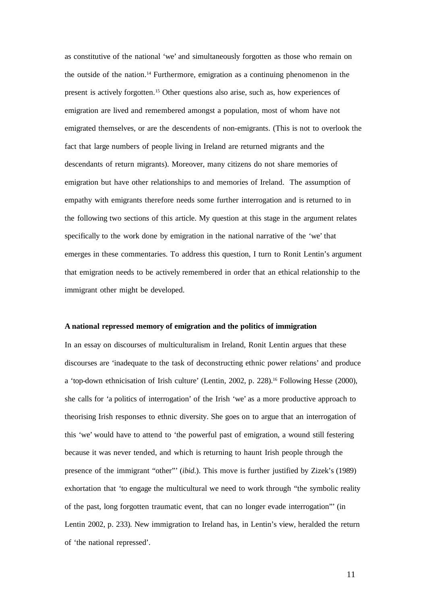as constitutive of the national 'we' and simultaneously forgotten as those who remain on the outside of the nation. <sup>14</sup> Furthermore, emigration as a continuing phenomenon in the present is actively forgotten. <sup>15</sup> Other questions also arise, such as, how experiences of emigration are lived and remembered amongst a population, most of whom have not emigrated themselves, or are the descendents of non-emigrants. (This is not to overlook the fact that large numbers of people living in Ireland are returned migrants and the descendants of return migrants). Moreover, many citizens do not share memories of emigration but have other relationships to and memories of Ireland. The assumption of empathy with emigrants therefore needs some further interrogation and is returned to in the following two sections of this article. My question at this stage in the argument relates specifically to the work done by emigration in the national narrative of the 'we' that emerges in these commentaries. To address this question, I turn to Ronit Lentin's argument that emigration needs to be actively remembered in order that an ethical relationship to the immigrant other might be developed.

#### **A national repressed memory of emigration and the politics of immigration**

In an essay on discourses of multiculturalism in Ireland, Ronit Lentin argues that these discourses are 'inadequate to the task of deconstructing ethnic power relations' and produce a 'top-down ethnicisation of Irish culture' (Lentin, 2002, p. 228). <sup>16</sup> Following Hesse (2000), she calls for 'a politics of interrogation' of the Irish 'we' as a more productive approach to theorising Irish responses to ethnic diversity. She goes on to argue that an interrogation of this 'we' would have to attend to 'the powerful past of emigration, a wound still festering because it was never tended, and which is returning to haunt Irish people through the presence of the immigrant "other"' (*ibid*.). This move is further justified by Zizek's (1989) exhortation that 'to engage the multicultural we need to work through "the symbolic reality of the past, long forgotten traumatic event, that can no longer evade interrogation"' (in Lentin 2002, p. 233). New immigration to Ireland has, in Lentin's view, heralded the return of 'the national repressed'.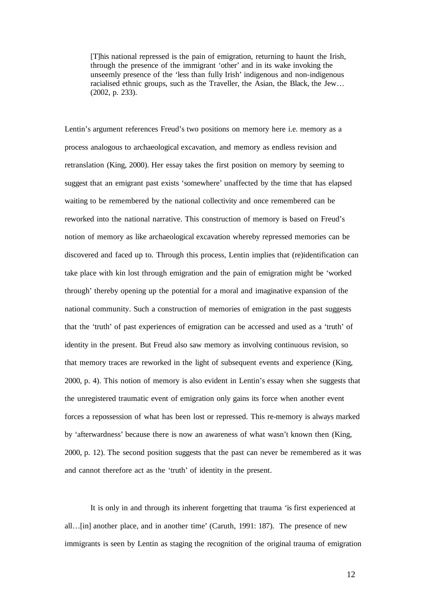[T]his national repressed is the pain of emigration, returning to haunt the Irish, through the presence of the immigrant 'other' and in its wake invoking the unseemly presence of the 'less than fully Irish' indigenous and non-indigenous racialised ethnic groups, such as the Traveller, the Asian, the Black, the Jew… (2002, p. 233).

Lentin's argument references Freud's two positions on memory here i.e. memory as a process analogous to archaeological excavation, and memory as endless revision and retranslation (King, 2000). Her essay takes the first position on memory by seeming to suggest that an emigrant past exists 'somewhere' unaffected by the time that has elapsed waiting to be remembered by the national collectivity and once remembered can be reworked into the national narrative. This construction of memory is based on Freud's notion of memory as like archaeological excavation whereby repressed memories can be discovered and faced up to. Through this process, Lentin implies that (re)identification can take place with kin lost through emigration and the pain of emigration might be 'worked through' thereby opening up the potential for a moral and imaginative expansion of the national community. Such a construction of memories of emigration in the past suggests that the 'truth' of past experiences of emigration can be accessed and used as a 'truth' of identity in the present. But Freud also saw memory as involving continuous revision, so that memory traces are reworked in the light of subsequent events and experience (King, 2000, p. 4). This notion of memory is also evident in Lentin's essay when she suggests that the unregistered traumatic event of emigration only gains its force when another event forces a repossession of what has been lost or repressed. This re-memory is always marked by 'afterwardness' because there is now an awareness of what wasn't known then (King, 2000, p. 12). The second position suggests that the past can never be remembered as it was and cannot therefore act as the 'truth' of identity in the present.

It is only in and through its inherent forgetting that trauma 'is first experienced at all…[in] another place, and in another time' (Caruth, 1991: 187). The presence of new immigrants is seen by Lentin as staging the recognition of the original trauma of emigration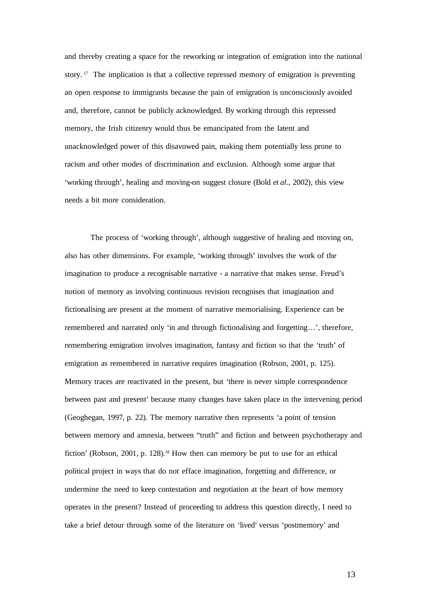and thereby creating a space for the reworking or integration of emigration into the national story. <sup>17</sup> The implication is that a collective repressed memory of emigration is preventing an open response to immigrants because the pain of emigration is unconsciously avoided and, therefore, cannot be publicly acknowledged. By working through this repressed memory, the Irish citizenry would thus be emancipated from the latent and unacknowledged power of this disavowed pain, making them potentially less prone to racism and other modes of discrimination and exclusion. Although some argue that 'working through', healing and moving-on suggest closure (Bold *et al*., 2002), this view needs a bit more consideration.

The process of 'working through', although suggestive of healing and moving on, also has other dimensions. For example, 'working through' involves the work of the imagination to produce a recognisable narrative - a narrative that makes sense. Freud's notion of memory as involving continuous revision recognises that imagination and fictionalising are present at the moment of narrative memorialising. Experience can be remembered and narrated only 'in and through fictionalising and forgetting…', therefore, remembering emigration involves imagination, fantasy and fiction so that the 'truth' of emigration as remembered in narrative requires imagination (Robson, 2001, p. 125). Memory traces are reactivated in the present, but 'there is never simple correspondence between past and present' because many changes have taken place in the intervening period (Geoghegan, 1997, p. 22). The memory narrative then represents 'a point of tension between memory and amnesia, between "truth" and fiction and between psychotherapy and fiction' (Robson, 2001, p. 128). <sup>18</sup> How then can memory be put to use for an ethical political project in ways that do not efface imagination, forgetting and difference, or undermine the need to keep contestation and negotiation at the heart of how memory operates in the present? Instead of proceeding to address this question directly, I need to take a brief detour through some of the literature on 'lived' versus 'postmemory' and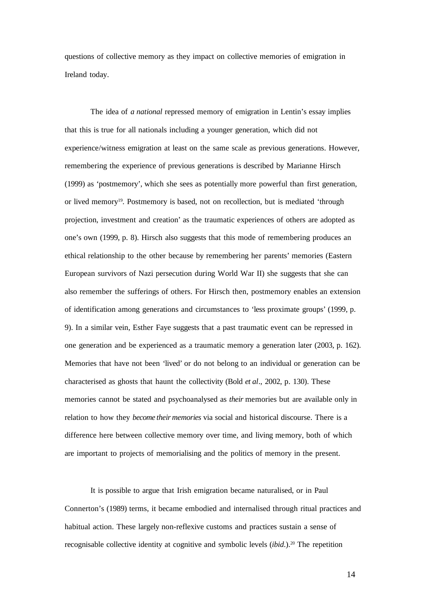questions of collective memory as they impact on collective memories of emigration in Ireland today.

The idea of *a national* repressed memory of emigration in Lentin's essay implies that this is true for all nationals including a younger generation, which did not experience/witness emigration at least on the same scale as previous generations. However, remembering the experience of previous generations is described by Marianne Hirsch (1999) as 'postmemory', which she sees as potentially more powerful than first generation, or lived memory 19 . Postmemory is based, not on recollection, but is mediated 'through projection, investment and creation' as the traumatic experiences of others are adopted as one's own (1999, p. 8). Hirsch also suggests that this mode of remembering produces an ethical relationship to the other because by remembering her parents' memories (Eastern European survivors of Nazi persecution during World War II) she suggests that she can also remember the sufferings of others. For Hirsch then, postmemory enables an extension of identification among generations and circumstances to 'less proximate groups' (1999, p. 9). In a similar vein, Esther Faye suggests that a past traumatic event can be repressed in one generation and be experienced as a traumatic memory a generation later (2003, p. 162). Memories that have not been 'lived' or do not belong to an individual or generation can be characterised as ghosts that haunt the collectivity (Bold *et al*., 2002, p. 130). These memories cannot be stated and psychoanalysed as *their* memories but are available only in relation to how they *become their memories* via social and historical discourse. There is a difference here between collective memory over time, and living memory, both of which are important to projects of memorialising and the politics of memory in the present.

It is possible to argue that Irish emigration became naturalised, or in Paul Connerton's (1989) terms, it became embodied and internalised through ritual practices and habitual action. These largely non-reflexive customs and practices sustain a sense of recognisable collective identity at cognitive and symbolic levels (*ibid*.). <sup>20</sup> The repetition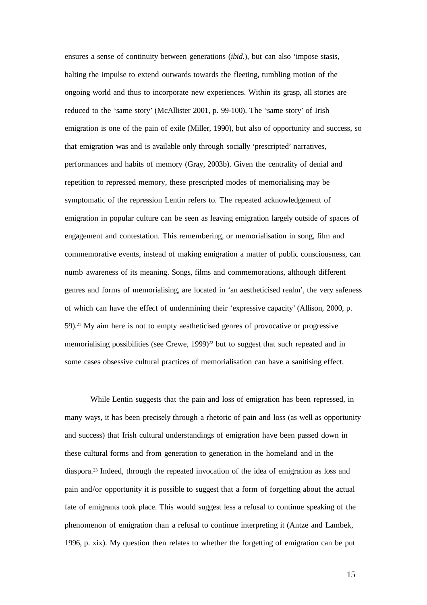ensures a sense of continuity between generations (*ibid*.), but can also 'impose stasis, halting the impulse to extend outwards towards the fleeting, tumbling motion of the ongoing world and thus to incorporate new experiences. Within its grasp, all stories are reduced to the 'same story' (McAllister 2001, p. 99-100). The 'same story' of Irish emigration is one of the pain of exile (Miller, 1990), but also of opportunity and success, so that emigration was and is available only through socially 'prescripted' narratives, performances and habits of memory (Gray, 2003b). Given the centrality of denial and repetition to repressed memory, these prescripted modes of memorialising may be symptomatic of the repression Lentin refers to. The repeated acknowledgement of emigration in popular culture can be seen as leaving emigration largely outside of spaces of engagement and contestation. This remembering, or memorialisation in song, film and commemorative events, instead of making emigration a matter of public consciousness, can numb awareness of its meaning. Songs, films and commemorations, although different genres and forms of memorialising, are located in 'an aestheticised realm', the very safeness of which can have the effect of undermining their 'expressive capacity' (Allison, 2000, p. 59). <sup>21</sup> My aim here is not to empty aestheticised genres of provocative or progressive memorialising possibilities (see Crewe, 1999)<sup>22</sup> but to suggest that such repeated and in some cases obsessive cultural practices of memorialisation can have a sanitising effect.

While Lentin suggests that the pain and loss of emigration has been repressed, in many ways, it has been precisely through a rhetoric of pain and loss (as well as opportunity and success) that Irish cultural understandings of emigration have been passed down in these cultural forms and from generation to generation in the homeland and in the diaspora. 23 Indeed, through the repeated invocation of the idea of emigration as loss and pain and/or opportunity it is possible to suggest that a form of forgetting about the actual fate of emigrants took place. This would suggest less a refusal to continue speaking of the phenomenon of emigration than a refusal to continue interpreting it (Antze and Lambek, 1996, p. xix). My question then relates to whether the forgetting of emigration can be put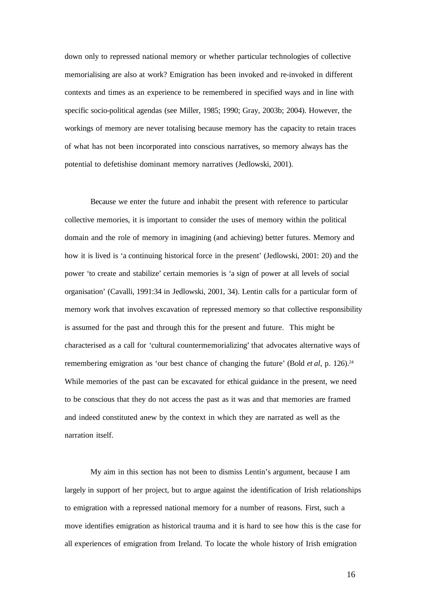down only to repressed national memory or whether particular technologies of collective memorialising are also at work? Emigration has been invoked and re-invoked in different contexts and times as an experience to be remembered in specified ways and in line with specific socio-political agendas (see Miller, 1985; 1990; Gray, 2003b; 2004). However, the workings of memory are never totalising because memory has the capacity to retain traces of what has not been incorporated into conscious narratives, so memory always has the potential to defetishise dominant memory narratives (Jedlowski, 2001).

Because we enter the future and inhabit the present with reference to particular collective memories, it is important to consider the uses of memory within the political domain and the role of memory in imagining (and achieving) better futures. Memory and how it is lived is 'a continuing historical force in the present' (Jedlowski, 2001: 20) and the power 'to create and stabilize' certain memories is 'a sign of power at all levels of social organisation' (Cavalli, 1991:34 in Jedlowski, 2001, 34). Lentin calls for a particular form of memory work that involves excavation of repressed memory so that collective responsibility is assumed for the past and through this for the present and future. This might be characterised as a call for 'cultural countermemorializing' that advocates alternative ways of remembering emigration as 'our best chance of changing the future' (Bold *et al*, p. 126). 24 While memories of the past can be excavated for ethical guidance in the present, we need to be conscious that they do not access the past as it was and that memories are framed and indeed constituted anew by the context in which they are narrated as well as the narration itself.

My aim in this section has not been to dismiss Lentin's argument, because I am largely in support of her project, but to argue against the identification of Irish relationships to emigration with a repressed national memory for a number of reasons. First, such a move identifies emigration as historical trauma and it is hard to see how this is the case for all experiences of emigration from Ireland. To locate the whole history of Irish emigration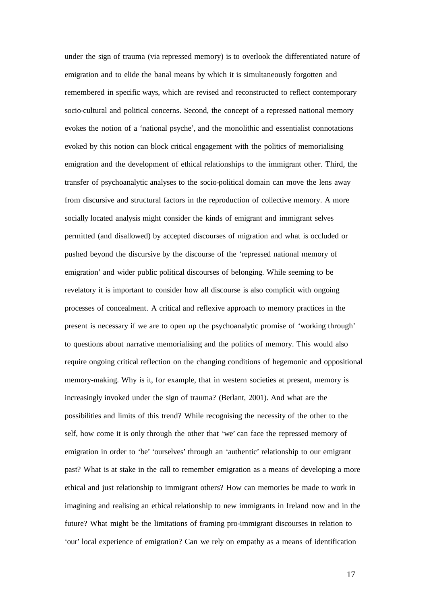under the sign of trauma (via repressed memory) is to overlook the differentiated nature of emigration and to elide the banal means by which it is simultaneously forgotten and remembered in specific ways, which are revised and reconstructed to reflect contemporary socio-cultural and political concerns. Second, the concept of a repressed national memory evokes the notion of a 'national psyche', and the monolithic and essentialist connotations evoked by this notion can block critical engagement with the politics of memorialising emigration and the development of ethical relationships to the immigrant other. Third, the transfer of psychoanalytic analyses to the socio-political domain can move the lens away from discursive and structural factors in the reproduction of collective memory. A more socially located analysis might consider the kinds of emigrant and immigrant selves permitted (and disallowed) by accepted discourses of migration and what is occluded or pushed beyond the discursive by the discourse of the 'repressed national memory of emigration' and wider public political discourses of belonging. While seeming to be revelatory it is important to consider how all discourse is also complicit with ongoing processes of concealment. A critical and reflexive approach to memory practices in the present is necessary if we are to open up the psychoanalytic promise of 'working through' to questions about narrative memorialising and the politics of memory. This would also require ongoing critical reflection on the changing conditions of hegemonic and oppositional memory-making. Why is it, for example, that in western societies at present, memory is increasingly invoked under the sign of trauma? (Berlant, 2001). And what are the possibilities and limits of this trend? While recognising the necessity of the other to the self, how come it is only through the other that 'we' can face the repressed memory of emigration in order to 'be' 'ourselves' through an 'authentic' relationship to our emigrant past? What is at stake in the call to remember emigration as a means of developing a more ethical and just relationship to immigrant others? How can memories be made to work in imagining and realising an ethical relationship to new immigrants in Ireland now and in the future? What might be the limitations of framing pro-immigrant discourses in relation to 'our' local experience of emigration? Can we rely on empathy as a means of identification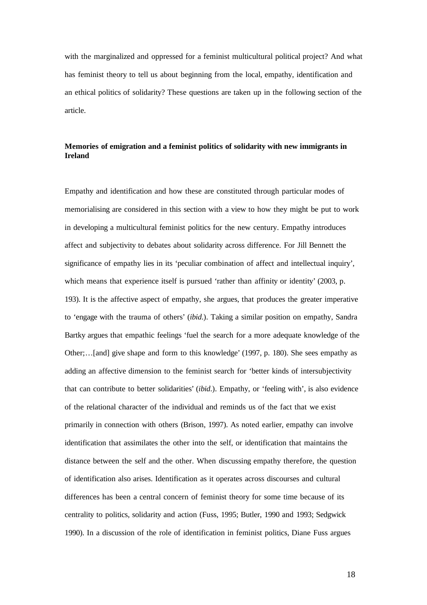with the marginalized and oppressed for a feminist multicultural political project? And what has feminist theory to tell us about beginning from the local, empathy, identification and an ethical politics of solidarity? These questions are taken up in the following section of the article.

# **Memories of emigration and a feminist politics of solidarity with new immigrants in Ireland**

Empathy and identification and how these are constituted through particular modes of memorialising are considered in this section with a view to how they might be put to work in developing a multicultural feminist politics for the new century. Empathy introduces affect and subjectivity to debates about solidarity across difference. For Jill Bennett the significance of empathy lies in its 'peculiar combination of affect and intellectual inquiry', which means that experience itself is pursued 'rather than affinity or identity' (2003, p. 193). It is the affective aspect of empathy, she argues, that produces the greater imperative to 'engage with the trauma of others' (*ibid*.). Taking a similar position on empathy, Sandra Bartky argues that empathic feelings 'fuel the search for a more adequate knowledge of the Other;…[and] give shape and form to this knowledge' (1997, p. 180). She sees empathy as adding an affective dimension to the feminist search for 'better kinds of intersubjectivity that can contribute to better solidarities' (*ibid*.). Empathy, or 'feeling with', is also evidence of the relational character of the individual and reminds us of the fact that we exist primarily in connection with others (Brison, 1997). As noted earlier, empathy can involve identification that assimilates the other into the self, or identification that maintains the distance between the self and the other. When discussing empathy therefore, the question of identification also arises. Identification as it operates across discourses and cultural differences has been a central concern of feminist theory for some time because of its centrality to politics, solidarity and action (Fuss, 1995; Butler, 1990 and 1993; Sedgwick 1990). In a discussion of the role of identification in feminist politics, Diane Fuss argues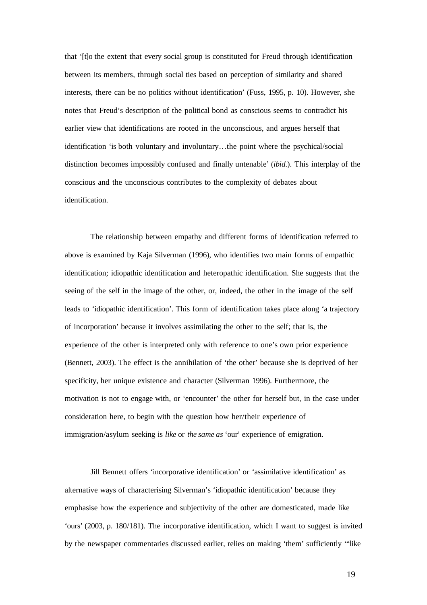that '[t]o the extent that every social group is constituted for Freud through identification between its members, through social ties based on perception of similarity and shared interests, there can be no politics without identification' (Fuss, 1995, p. 10). However, she notes that Freud's description of the political bond as conscious seems to contradict his earlier view that identifications are rooted in the unconscious, and argues herself that identification 'is both voluntary and involuntary…the point where the psychical/social distinction becomes impossibly confused and finally untenable' (*ibid*.). This interplay of the conscious and the unconscious contributes to the complexity of debates about identification.

The relationship between empathy and different forms of identification referred to above is examined by Kaja Silverman (1996), who identifies two main forms of empathic identification; idiopathic identification and heteropathic identification. She suggests that the seeing of the self in the image of the other, or, indeed, the other in the image of the self leads to 'idiopathic identification'. This form of identification takes place along 'a trajectory of incorporation' because it involves assimilating the other to the self; that is, the experience of the other is interpreted only with reference to one's own prior experience (Bennett, 2003). The effect is the annihilation of 'the other' because she is deprived of her specificity, her unique existence and character (Silverman 1996). Furthermore, the motivation is not to engage with, or 'encounter' the other for herself but, in the case under consideration here, to begin with the question how her/their experience of immigration/asylum seeking is *like* or *the same as* 'our' experience of emigration.

Jill Bennett offers 'incorporative identification' or 'assimilative identification' as alternative ways of characterising Silverman's 'idiopathic identification' because they emphasise how the experience and subjectivity of the other are domesticated, made like 'ours' (2003, p. 180/181). The incorporative identification, which I want to suggest is invited by the newspaper commentaries discussed earlier, relies on making 'them' sufficiently '"like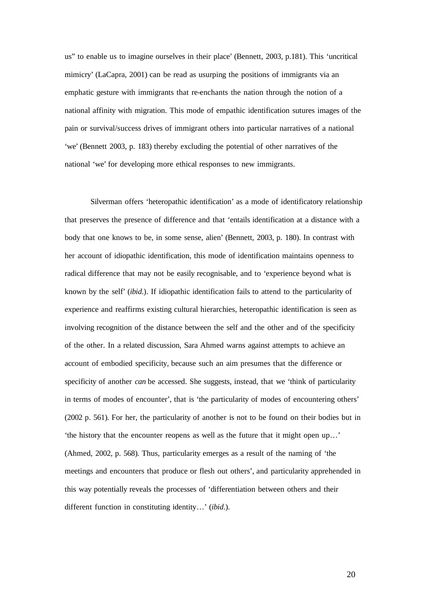us" to enable us to imagine ourselves in their place' (Bennett, 2003, p.181). This 'uncritical mimicry' (LaCapra, 2001) can be read as usurping the positions of immigrants via an emphatic gesture with immigrants that re-enchants the nation through the notion of a national affinity with migration. This mode of empathic identification sutures images of the pain or survival/success drives of immigrant others into particular narratives of a national 'we' (Bennett 2003, p. 183) thereby excluding the potential of other narratives of the national 'we' for developing more ethical responses to new immigrants.

Silverman offers 'heteropathic identification' as a mode of identificatory relationship that preserves the presence of difference and that 'entails identification at a distance with a body that one knows to be, in some sense, alien' (Bennett, 2003, p. 180). In contrast with her account of idiopathic identification, this mode of identification maintains openness to radical difference that may not be easily recognisable, and to 'experience beyond what is known by the self' (*ibid*.). If idiopathic identification fails to attend to the particularity of experience and reaffirms existing cultural hierarchies, heteropathic identification is seen as involving recognition of the distance between the self and the other and of the specificity of the other. In a related discussion, Sara Ahmed warns against attempts to achieve an account of embodied specificity, because such an aim presumes that the difference or specificity of another *can* be accessed. She suggests, instead, that we 'think of particularity in terms of modes of encounter', that is 'the particularity of modes of encountering others' (2002 p. 561). For her, the particularity of another is not to be found on their bodies but in 'the history that the encounter reopens as well as the future that it might open up…' (Ahmed, 2002, p. 568). Thus, particularity emerges as a result of the naming of 'the meetings and encounters that produce or flesh out others', and particularity apprehended in this way potentially reveals the processes of 'differentiation between others and their different function in constituting identity…' (*ibid*.).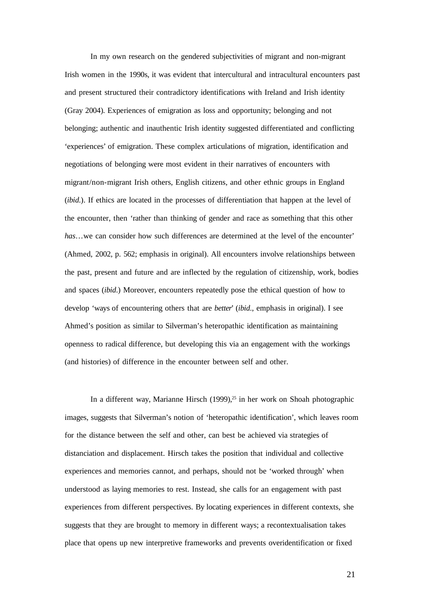In my own research on the gendered subjectivities of migrant and non-migrant Irish women in the 1990s, it was evident that intercultural and intracultural encounters past and present structured their contradictory identifications with Ireland and Irish identity (Gray 2004). Experiences of emigration as loss and opportunity; belonging and not belonging; authentic and inauthentic Irish identity suggested differentiated and conflicting 'experiences' of emigration. These complex articulations of migration, identification and negotiations of belonging were most evident in their narratives of encounters with migrant/non-migrant Irish others, English citizens, and other ethnic groups in England (*ibid*.). If ethics are located in the processes of differentiation that happen at the level of the encounter, then 'rather than thinking of gender and race as something that this other *has*…we can consider how such differences are determined at the level of the encounter' (Ahmed, 2002, p. 562; emphasis in original). All encounters involve relationships between the past, present and future and are inflected by the regulation of citizenship, work, bodies and spaces (*ibid*.) Moreover, encounters repeatedly pose the ethical question of how to develop 'ways of encountering others that are *better*' (*ibid*., emphasis in original). I see Ahmed's position as similar to Silverman's heteropathic identification as maintaining openness to radical difference, but developing this via an engagement with the workings (and histories) of difference in the encounter between self and other.

In a different way, Marianne Hirsch (1999), 25 in her work on Shoah photographic images, suggests that Silverman's notion of 'heteropathic identification', which leaves room for the distance between the self and other, can best be achieved via strategies of distanciation and displacement. Hirsch takes the position that individual and collective experiences and memories cannot, and perhaps, should not be 'worked through' when understood as laying memories to rest. Instead, she calls for an engagement with past experiences from different perspectives. By locating experiences in different contexts, she suggests that they are brought to memory in different ways; a recontextualisation takes place that opens up new interpretive frameworks and prevents overidentification or fixed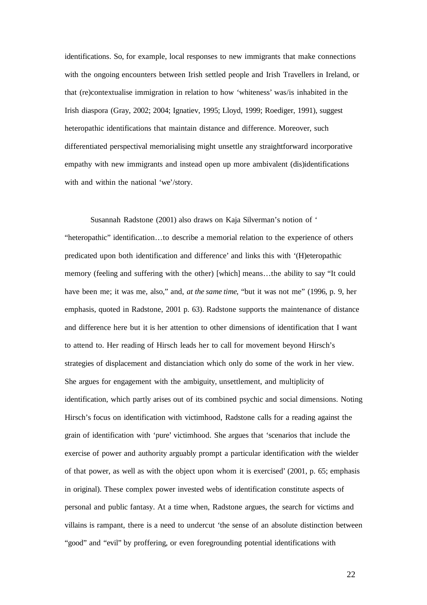identifications. So, for example, local responses to new immigrants that make connections with the ongoing encounters between Irish settled people and Irish Travellers in Ireland, or that (re)contextualise immigration in relation to how 'whiteness' was/is inhabited in the Irish diaspora (Gray, 2002; 2004; Ignatiev, 1995; Lloyd, 1999; Roediger, 1991), suggest heteropathic identifications that maintain distance and difference. Moreover, such differentiated perspectival memorialising might unsettle any straightforward incorporative empathy with new immigrants and instead open up more ambivalent (dis)identifications with and within the national 'we'/story.

Susannah Radstone (2001) also draws on Kaja Silverman's notion of ' "heteropathic" identification…to describe a memorial relation to the experience of others predicated upon both identification and difference' and links this with '(H)eteropathic memory (feeling and suffering with the other) [which] means…the ability to say "It could have been me; it was me, also," and, *at the same time*, "but it was not me" (1996, p. 9, her emphasis, quoted in Radstone, 2001 p. 63). Radstone supports the maintenance of distance and difference here but it is her attention to other dimensions of identification that I want to attend to. Her reading of Hirsch leads her to call for movement beyond Hirsch's strategies of displacement and distanciation which only do some of the work in her view. She argues for engagement with the ambiguity, unsettlement, and multiplicity of identification, which partly arises out of its combined psychic and social dimensions. Noting Hirsch's focus on identification with victimhood, Radstone calls for a reading against the grain of identification with 'pure' victimhood. She argues that 'scenarios that include the exercise of power and authority arguably prompt a particular identification *with* the wielder of that power, as well as with the object upon whom it is exercised' (2001, p. 65; emphasis in original). These complex power invested webs of identification constitute aspects of personal and public fantasy. At a time when, Radstone argues, the search for victims and villains is rampant, there is a need to undercut 'the sense of an absolute distinction between "good" and "evil" by proffering, or even foregrounding potential identifications with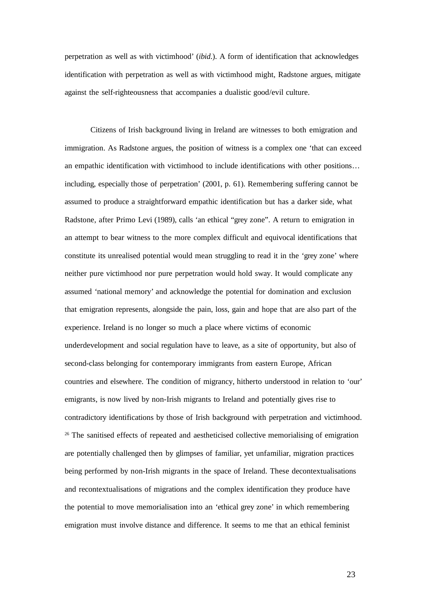perpetration as well as with victimhood' (*ibid*.). A form of identification that acknowledges identification with perpetration as well as with victimhood might, Radstone argues, mitigate against the self-righteousness that accompanies a dualistic good/evil culture.

Citizens of Irish background living in Ireland are witnesses to both emigration and immigration. As Radstone argues, the position of witness is a complex one 'that can exceed an empathic identification with victimhood to include identifications with other positions… including, especially those of perpetration' (2001, p. 61). Remembering suffering cannot be assumed to produce a straightforward empathic identification but has a darker side, what Radstone, after Primo Levi (1989), calls 'an ethical "grey zone". A return to emigration in an attempt to bear witness to the more complex difficult and equivocal identifications that constitute its unrealised potential would mean struggling to read it in the 'grey zone' where neither pure victimhood nor pure perpetration would hold sway. It would complicate any assumed 'national memory' and acknowledge the potential for domination and exclusion that emigration represents, alongside the pain, loss, gain and hope that are also part of the experience. Ireland is no longer so much a place where victims of economic underdevelopment and social regulation have to leave, as a site of opportunity, but also of second-class belonging for contemporary immigrants from eastern Europe, African countries and elsewhere. The condition of migrancy, hitherto understood in relation to 'our' emigrants, is now lived by non-Irish migrants to Ireland and potentially gives rise to contradictory identifications by those of Irish background with perpetration and victimhood. <sup>26</sup> The sanitised effects of repeated and aestheticised collective memorialising of emigration are potentially challenged then by glimpses of familiar, yet unfamiliar, migration practices being performed by non-Irish migrants in the space of Ireland. These decontextualisations and recontextualisations of migrations and the complex identification they produce have the potential to move memorialisation into an 'ethical grey zone' in which remembering emigration must involve distance and difference. It seems to me that an ethical feminist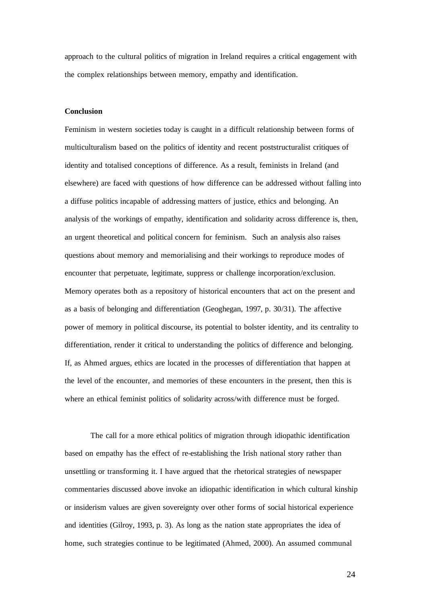approach to the cultural politics of migration in Ireland requires a critical engagement with the complex relationships between memory, empathy and identification.

#### **Conclusion**

Feminism in western societies today is caught in a difficult relationship between forms of multiculturalism based on the politics of identity and recent poststructuralist critiques of identity and totalised conceptions of difference. As a result, feminists in Ireland (and elsewhere) are faced with questions of how difference can be addressed without falling into a diffuse politics incapable of addressing matters of justice, ethics and belonging. An analysis of the workings of empathy, identification and solidarity across difference is, then, an urgent theoretical and political concern for feminism. Such an analysis also raises questions about memory and memorialising and their workings to reproduce modes of encounter that perpetuate, legitimate, suppress or challenge incorporation/exclusion. Memory operates both as a repository of historical encounters that act on the present and as a basis of belonging and differentiation (Geoghegan, 1997, p. 30/31). The affective power of memory in political discourse, its potential to bolster identity, and its centrality to differentiation, render it critical to understanding the politics of difference and belonging. If, as Ahmed argues, ethics are located in the processes of differentiation that happen at the level of the encounter, and memories of these encounters in the present, then this is where an ethical feminist politics of solidarity across/with difference must be forged.

The call for a more ethical politics of migration through idiopathic identification based on empathy has the effect of re-establishing the Irish national story rather than unsettling or transforming it. I have argued that the rhetorical strategies of newspaper commentaries discussed above invoke an idiopathic identification in which cultural kinship or insiderism values are given sovereignty over other forms of social historical experience and identities (Gilroy, 1993, p. 3). As long as the nation state appropriates the idea of home, such strategies continue to be legitimated (Ahmed, 2000). An assumed communal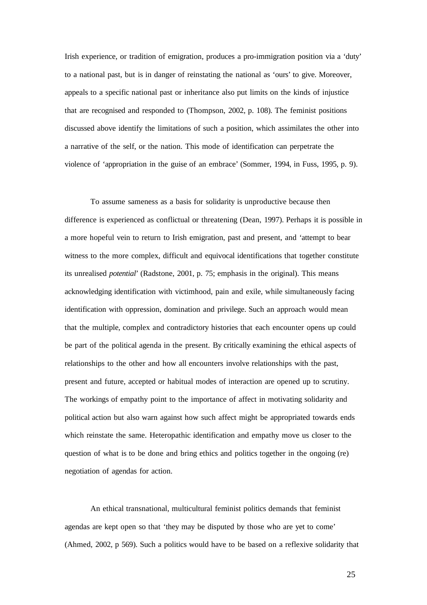Irish experience, or tradition of emigration, produces a pro-immigration position via a 'duty' to a national past, but is in danger of reinstating the national as 'ours' to give. Moreover, appeals to a specific national past or inheritance also put limits on the kinds of injustice that are recognised and responded to (Thompson, 2002, p. 108). The feminist positions discussed above identify the limitations of such a position, which assimilates the other into a narrative of the self, or the nation. This mode of identification can perpetrate the violence of 'appropriation in the guise of an embrace' (Sommer, 1994, in Fuss, 1995, p. 9).

To assume sameness as a basis for solidarity is unproductive because then difference is experienced as conflictual or threatening (Dean, 1997). Perhaps it is possible in a more hopeful vein to return to Irish emigration, past and present, and 'attempt to bear witness to the more complex, difficult and equivocal identifications that together constitute its unrealised *potential*' (Radstone, 2001, p. 75; emphasis in the original). This means acknowledging identification with victimhood, pain and exile, while simultaneously facing identification with oppression, domination and privilege. Such an approach would mean that the multiple, complex and contradictory histories that each encounter opens up could be part of the political agenda in the present. By critically examining the ethical aspects of relationships to the other and how all encounters involve relationships with the past, present and future, accepted or habitual modes of interaction are opened up to scrutiny. The workings of empathy point to the importance of affect in motivating solidarity and political action but also warn against how such affect might be appropriated towards ends which reinstate the same. Heteropathic identification and empathy move us closer to the question of what is to be done and bring ethics and politics together in the ongoing (re) negotiation of agendas for action.

An ethical transnational, multicultural feminist politics demands that feminist agendas are kept open so that 'they may be disputed by those who are yet to come' (Ahmed, 2002, p 569). Such a politics would have to be based on a reflexive solidarity that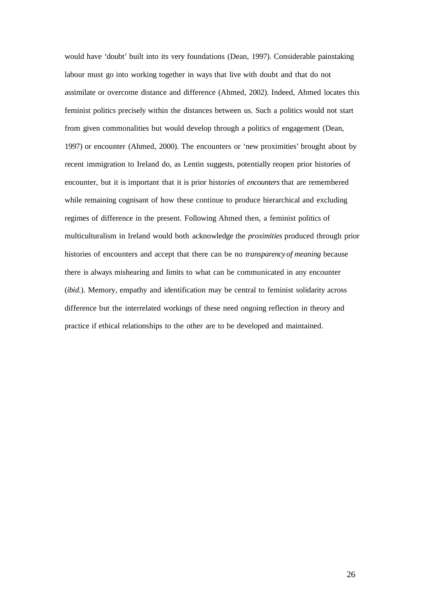would have 'doubt' built into its very foundations (Dean, 1997). Considerable painstaking labour must go into working together in ways that live with doubt and that do not assimilate or overcome distance and difference (Ahmed, 2002). Indeed, Ahmed locates this feminist politics precisely within the distances between us. Such a politics would not start from given commonalities but would develop through a politics of engagement (Dean, 1997) or encounter (Ahmed, 2000). The encounters or 'new proximities' brought about by recent immigration to Ireland do, as Lentin suggests, potentially reopen prior histories of encounter, but it is important that it is prior histor*ies* of *encounters* that are remembered while remaining cognisant of how these continue to produce hierarchical and excluding regimes of difference in the present. Following Ahmed then, a feminist politics of multiculturalism in Ireland would both acknowledge the *proximities* produced through prior histories of encounters and accept that there can be no *transparency of meaning* because there is always mishearing and limits to what can be communicated in any encounter (*ibid*.). Memory, empathy and identification may be central to feminist solidarity across difference but the interrelated workings of these need ongoing reflection in theory and practice if ethical relationships to the other are to be developed and maintained.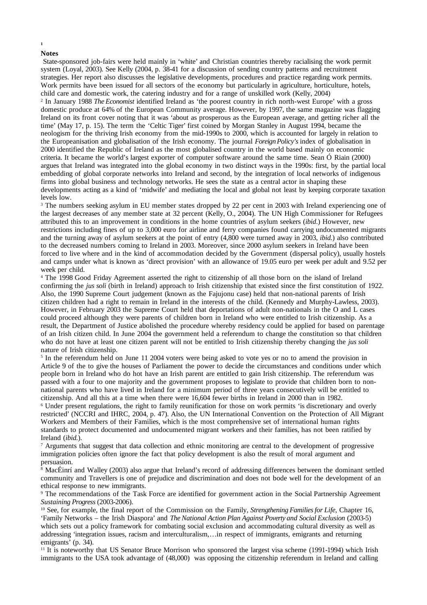#### **Notes**

**1**

State-sponsored job-fairs were held mainly in 'white' and Christian countries thereby racialising the work permit system (Loyal, 2003). See Kelly (2004, p. 38-41 for a discussion of sending country patterns and recruitment strategies. Her report also discusses the legislative developments, procedures and practice regarding work permits. Work permits have been issued for all sectors of the economy but particularly in agriculture, horticulture, hotels, child care and domestic work, the catering industry and for a range of unskilled work (Kelly, 2004) 2 In January 1988 *The Economist* identified Ireland as 'the poorest country in rich north-west Europe' with a gross domestic produce at 64% of the European Community average. However, by 1997, the same magazine was flagging Ireland on its front cover noting that it was 'about as prosperous as the European average, and getting richer all the time' (May 17, p. 15). The term the 'Celtic Tiger' first coined by Morgan Stanley in August 1994, became the neologism for the thriving Irish economy from the mid-1990s to 2000, which is accounted for largely in relation to the Europeanisation and globalisation of the Irish economy. The journal *ForeignPolicy's* index of globalisation in 2000 identified the Republic of Ireland as the most globalised country in the world based mainly on economic criteria. It became the world's largest exporter of computer software around the same time. Sean Ó Riain (2000) argues that Ireland was integrated into the global economy in two distinct ways in the 1990s: first, by the partial local embedding of global corporate networks into Ireland and second, by the integration of local networks of indigenous firms into global business and technology networks. He sees the state as a central actor in shaping these developments acting as a kind of 'midwife' and mediating the local and global not least by keeping corporate taxation levels low.

<sup>3</sup> The numbers seeking asylum in EU member states dropped by 22 per cent in 2003 with Ireland experiencing one of the largest decreases of any member state at 32 percent (Kelly, O., 2004). The UN High Commissioner for Refugees attributed this to an improvement in conditions in the home countries of asylum seekers (*ibid*.) However, new restrictions including fines of up to 3,000 euro for airline and ferry companies found carrying undocumented migrants and the turning away of asylum seekers at the point of entry (4,800 were turned away in 2003, *ibid*.) also contributed to the decreased numbers coming to Ireland in 2003. Moreover, since 2000 asylum seekers in Ireland have been forced to live where and in the kind of accommodation decided by the Government (dispersal policy), usually hostels and camps under what is known as 'direct provision' with an allowance of 19.05 euro per week per adult and 9.52 per week per child.

<sup>4</sup> The 1998 Good Friday Agreement asserted the right to citizenship of all those born on the island of Ireland confirming the *jus soli* (birth in Ireland) approach to Irish citizenship that existed since the first constitution of 1922. Also, the 1990 Supreme Court judgement (known as the Fajujonu case) held that non-national parents of Irish citizen children had a right to remain in Ireland in the interests of the child. (Kennedy and Murphy-Lawless, 2003). However, in February 2003 the Supreme Court held that deportations of adult non-nationals in the O and L cases could proceed although they were parents of children born in Ireland who were entitled to Irish citizenship. As a result, the Department of Justice abolished the procedure whereby residency could be applied for based on parentage of an Irish citizen child. In June 2004 the government held a referendum to change the constitution so that children who do not have at least one citizen parent will not be entitled to Irish citizenship thereby changing the *jus soli* nature of Irish citizenship.

<sup>5</sup> In the referendum held on June 11 2004 voters were being asked to vote yes or no to amend the provision in Article 9 of the to give the houses of Parliament the power to decide the circumstances and conditions under which people born in Ireland who do hot have an Irish parent are entitled to gain Irish citizenship. The referendum was passed with a four to one majority and the government proposes to legislate to provide that children born to nonnational parents who have lived in Ireland for a minimum period of three years consecutively will be entitled to citizenship. And all this at a time when there were 16,604 fewer births in Ireland in 2000 than in 1982.

<sup>6</sup> Under present regulations, the right to family reunification for those on work permits 'is discretionary and overly restricted' (NCCRI and IHRC, 2004, p. 47). Also, the UN International Convention on the Protection of All Migrant Workers and Members of their Families, which is the most comprehensive set of international human rights standards to protect documented and undocumented migrant workers and their families, has not been ratified by Ireland (*ibid*.).

<sup>7</sup> Arguments that suggest that data collection and ethnic monitoring are central to the development of progressive immigration policies often ignore the fact that policy development is also the result of moral argument and persuasion.

 $\frac{8}{8}$  MacÉinrí and Walley (2003) also argue that Ireland's record of addressing differences between the dominant settled community and Travellers is one of prejudice and discrimination and does not bode well for the development of an ethical response to new immigrants.

<sup>9</sup> The recommendations of the Task Force are identified for government action in the Social Partnership Agreement *Sustaining Progress* (2003-2006).

<sup>10</sup> See, for example, the final report of the Commission on the Family, *Strengthening FamiliesforLife*, Chapter 16, 'Family Networks – the Irish Diaspora' and *The National Action Plan Against Poverty and Social Exclusion* (2003-5) which sets out a policy framework for combating social exclusion and accommodating cultural diversity as well as addressing 'integration issues, racism and interculturalism,…in respect of immigrants, emigrants and returning emigrants' (p. 34).

<sup>11</sup> It is noteworthy that US Senator Bruce Morrison who sponsored the largest visa scheme (1991-1994) which Irish immigrants to the USA took advantage of (48,000) was opposing the citizenship referendum in Ireland and calling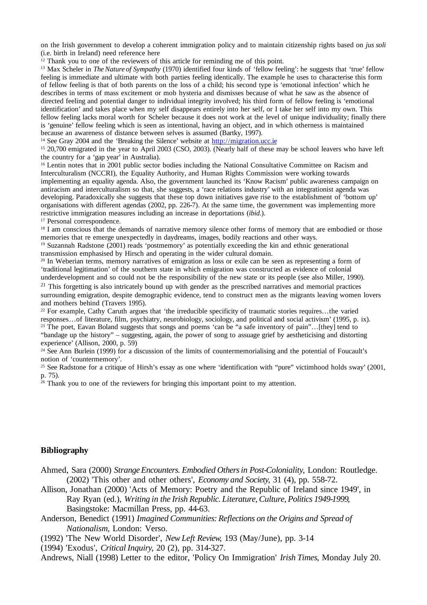on the Irish government to develop a coherent immigration policy and to maintain citizenship rights based on *jus soli* (i.e. birth in Ireland) need reference here

 $12$  Thank you to one of the reviewers of this article for reminding me of this point.

<sup>13</sup> Max Scheler in *The Nature of Sympathy* (1970) identified four kinds of 'fellow feeling': he suggests that 'true' fellow feeling is immediate and ultimate with both parties feeling identically. The example he uses to characterise this form of fellow feeling is that of both parents on the loss of a child; his second type is 'emotional infection' which he describes in terms of mass excitement or mob hysteria and dismisses because of what he saw as the absence of directed feeling and potential danger to individual integrity involved; his third form of fellow feeling is 'emotional identification' and takes place when my self disappears entirely into her self, or I take her self into my own. This fellow feeling lacks moral worth for Scheler because it does not work at the level of unique individuality; finally there is 'genuine' fellow feeling which is seen as intentional, having an object, and in which otherness is maintained because an awareness of distance between selves is assumed (Bartky, 1997).

<sup>14</sup> See Gray 2004 and the 'Breaking the Silence' website at http://migration.ucc.ie

<sup>15</sup> 20,700 emigrated in the year to April 2003 (CSO, 2003). (Nearly half of these may be school leavers who have left the country for a 'gap year' in Australia).

<sup>16</sup> Lentin notes that in 2001 public sector bodies including the National Consultative Committee on Racism and Interculturalism (NCCRI), the Equality Authority, and Human Rights Commission were working towards implementing an equality agenda. Also, the government launched its 'Know Racism' public awareness campaign on antiracism and interculturalism so that, she suggests, a 'race relations industry' with an integrationist agenda was developing. Paradoxically she suggests that these top down initiatives gave rise to the establishment of 'bottom up' organisations with different agendas (2002, pp. 226-7). At the same time, the government was implementing more restrictive immigration measures including an increase in deportations (*ibid*.).

<sup>17</sup> Personal correspondence.

<sup>18</sup> I am conscious that the demands of narrative memory silence other forms of memory that are embodied or those memories that re emerge unexpectedly in daydreams, images, bodily reactions and other ways.

<sup>19</sup> Suzannah Radstone (2001) reads 'postmemory' as potentially exceeding the kin and ethnic generational transmission emphasised by Hirsch and operating in the wider cultural domain.

<sup>20</sup> In Weberian terms, memory narratives of emigration as loss or exile can be seen as representing a form of 'traditional legitimation' of the southern state in which emigration was constructed as evidence of colonial underdevelopment and so could not be the responsibility of the new state or its people (see also Miller, 1990).

<sup>21</sup> This forgetting is also intricately bound up with gender as the prescribed narratives and memorial practices surrounding emigration, despite demographic evidence, tend to construct men as the migrants leaving women lovers and mothers behind (Travers 1995).

<sup>22</sup> For example, Cathy Caruth argues that 'the irreducible specificity of traumatic stories requires…the varied responses…of literature, film, psychiatry, neurobiology, sociology, and political and social activism' (1995, p. ix). <sup>23</sup> The poet, Eavan Boland suggests that songs and poems 'can be "a safe inventory of pain"...[they] tend to

"bandage up the history" – suggesting, again, the power of song to assuage grief by aestheticising and distorting experience' (Allison, 2000, p. 59)

<sup>24</sup> See Ann Burlein (1999) for a discussion of the limits of countermemorialising and the potential of Foucault's notion of 'countermemory'.

<sup>25</sup> See Radstone for a critique of Hirsh's essay as one where 'identification with "pure" victimhood holds sway'  $(2001,$ p. 75).

 $26$  Thank you to one of the reviewers for bringing this important point to my attention.

# **Bibliography**

- Ahmed, Sara (2000) *Strange Encounters. Embodied Others in Post-Coloniality*, London: Routledge. (2002) 'This other and other others', *Economy and Society*, 31 (4), pp. 558-72.
- Allison, Jonathan (2000) 'Acts of Memory: Poetry and the Republic of Ireland since 1949', in Ray Ryan (ed.), *Writing in the Irish Republic. Literature, Culture, Politics 1949-1999*, Basingstoke: Macmillan Press, pp. 44-63.
- Anderson, Benedict (1991) *Imagined Communities: Reflections on the Origins and Spread of Nationalism*, London: Verso.
- (1992) 'The New World Disorder', *New Left Review*, 193 (May/June), pp. 3-14
- (1994) 'Exodus', *Critical Inquiry*, 20 (2), pp. 314-327.

Andrews, Niall (1998) Letter to the editor, 'Policy On Immigration' *Irish Times*, Monday July 20.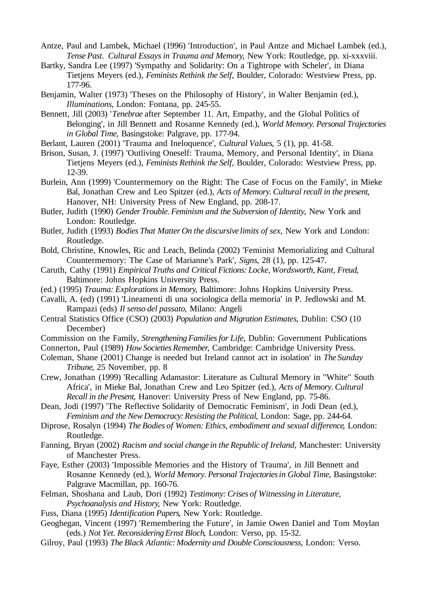- Antze, Paul and Lambek, Michael (1996) 'Introduction', in Paul Antze and Michael Lambek (ed.), *Tense Past. Cultural Essays in Trauma and Memory*, New York: Routledge, pp. xi-xxxviii.
- Bartky, Sandra Lee (1997) 'Sympathy and Solidarity: On a Tightrope with Scheler', in Diana Tietjens Meyers (ed.), *Feminists Rethink the Self*, Boulder, Colorado: Westview Press, pp. 177-96.
- Benjamin, Walter (1973) 'Theses on the Philosophy of History', in Walter Benjamin (ed.), *Illuminations*, London: Fontana, pp. 245-55.
- Bennett, Jill (2003) '*Tenebrae* after September 11. Art, Empathy, and the Global Politics of Belonging', in Jill Bennett and Rosanne Kennedy (ed.), *World Memory. Personal Trajectories in Global Time*, Basingstoke: Palgrave, pp. 177-94.
- Berlant, Lauren (2001) 'Trauma and Ineloquence', *Cultural Values*, 5 (1), pp. 41-58.
- Brison, Susan, J. (1997) 'Outliving Oneself: Trauma, Memory, and Personal Identity', in Diana Tietiens Meyers (ed.), *Feminists Rethink the Self*, Boulder, Colorado: Westview Press, pp. 12-39.
- Burlein, Ann (1999) 'Countermemory on the Right: The Case of Focus on the Family', in Mieke Bal, Jonathan Crew and Leo Spitzer (ed.), *Acts of Memory. Cultural recall in the present*, Hanover, NH: University Press of New England, pp. 208-17.
- Butler, Judith (1990) *Gender Trouble. Feminism and the Subversion of Identity*, New York and London: Routledge.
- Butler, Judith (1993) *Bodies That Matter On the discursive limits of sex*, New York and London: Routledge.
- Bold, Christine, Knowles, Ric and Leach, Belinda (2002) 'Feminist Memorializing and Cultural Countermemory: The Case of Marianne's Park', *Signs*, 28 (1), pp. 125-47.
- Caruth, Cathy (1991) *Empirical Truths and Critical Fictions: Locke, Wordsworth, Kant, Freud*, Baltimore: Johns Hopkins University Press.
- (ed.) (1995) *Trauma: Explorations in Memory*, Baltimore: Johns Hopkins University Press.
- Cavalli, A. (ed) (1991) 'Lineamenti di una sociologica della memoria' in P. Jedlowski and M. Rampazi (eds) *Il senso del passato*, Milano: Angeli
- Central Statistics Office (CSO) (2003) *Population and Migration Estimates*, Dublin: CSO (10 December)
- Commission on the Family, *Strengthening Families for Life*, Dublin: Government Publications
- Connerton, Paul (1989) *How Societies Remember*, Cambridge: Cambridge University Press.
- Coleman, Shane (2001) Change is needed but Ireland cannot act in isolation' in *The Sunday Tribune*, 25 November, pp. 8
- Crew, Jonathan (1999) 'Recalling Adamastor: Literature as Cultural Memory in "White" South Africa', in Mieke Bal, Jonathan Crew and Leo Spitzer (ed.), *Acts of Memory. Cultural Recall in the Present*, Hanover: University Press of New England, pp. 75-86.
- Dean, Jodi (1997) 'The Reflective Solidarity of Democratic Feminism', in Jodi Dean (ed.), *Feminism and the New Democracy: Resisting the Political*, London: Sage, pp. 244-64.
- Diprose, Rosalyn (1994) *The Bodies of Women: Ethics, embodiment and sexual difference*, London: Routledge.
- Fanning, Bryan (2002) *Racism and social change in the Republic of Ireland*, Manchester: University of Manchester Press.
- Faye, Esther (2003) 'Impossible Memories and the History of Trauma', in Jill Bennett and Rosanne Kennedy (ed.), *World Memory. Personal Trajectories in Global Time*, Basingstoke: Palgrave Macmillan, pp. 160-76.
- Felman, Shoshana and Laub, Dori (1992) *Testimony: Crises of Witnessing in Literature, Psychoanalysis and History*, New York: Routledge.
- Fuss, Diana (1995) *Identification Papers*, New York: Routledge.
- Geoghegan, Vincent (1997) 'Remembering the Future', in Jamie Owen Daniel and Tom Moylan (eds.) *Not Yet. Reconsidering Ernst Bloch*, London: Verso, pp. 15-32.
- Gilroy, Paul (1993) *The Black Atlantic: Modernity and Double Consciousness*, London: Verso.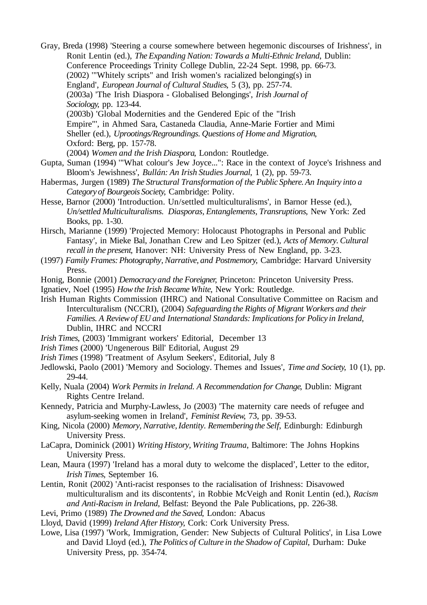- Gray, Breda (1998) 'Steering a course somewhere between hegemonic discourses of Irishness', in Ronit Lentin (ed.), *The Expanding Nation: Towards a Multi-Ethnic Ireland*, Dublin: Conference Proceedings Trinity College Dublin, 22-24 Sept. 1998, pp. 66-73. (2002) '"Whitely scripts" and Irish women's racialized belonging(s) in England', *European Journal of Cultural Studies*, 5 (3), pp. 257-74. (2003a) 'The Irish Diaspora - Globalised Belongings', *Irish Journal of Sociology*, pp. 123-44. (2003b) 'Global Modernities and the Gendered Epic of the "Irish Empire"', in Ahmed Sara, Castaneda Claudia, Anne-Marie Fortier and Mimi Sheller (ed.), *Uprootings/Regroundings. Questions of Home and Migration*, Oxford: Berg, pp. 157-78. (2004) *Women and the Irish Diaspora*, London: Routledge.
- Gupta, Suman (1994) '"What colour's Jew Joyce...": Race in the context of Joyce's Irishness and Bloom's Jewishness', *Bullán: An Irish Studies Journal*, 1 (2), pp. 59-73.
- Habermas, Jurgen (1989) *The Structural Transformation of the Public Sphere. An Inquiry into a Category of Bourgeois Society*, Cambridge: Polity.
- Hesse, Barnor (2000) 'Introduction. Un/settled multiculturalisms', in Barnor Hesse (ed.), *Un/settled Multiculturalisms. Diasporas, Entanglements, Transruptions*, New York: Zed Books, pp. 1-30.
- Hirsch, Marianne (1999) 'Projected Memory: Holocaust Photographs in Personal and Public Fantasy', in Mieke Bal, Jonathan Crew and Leo Spitzer (ed.), *Acts of Memory. Cultural recall in the present*, Hanover: NH: University Press of New England, pp. 3-23.
- (1997) *Family Frames: Photography, Narrative, and Postmemory*, Cambridge: Harvard University Press.
- Honig, Bonnie (2001) *Democracy and the Foreigner*, Princeton: Princeton University Press.
- Ignatiev, Noel (1995) *How the Irish Became White*, New York: Routledge.
- Irish Human Rights Commission (IHRC) and National Consultative Committee on Racism and Interculturalism (NCCRI), (2004) *Safeguarding the Rights of Migrant Workers and their Families. A Review of EU and International Standards: Implications for Policy in Ireland*, Dublin, IHRC and NCCRI
- *Irish Times*, (2003) 'Immigrant workers' Editorial, December 13
- *Irish Times* (2000) 'Ungenerous Bill' Editorial, August 29
- *Irish Times* (1998) 'Treatment of Asylum Seekers', Editorial, July 8
- Jedlowski, Paolo (2001) 'Memory and Sociology. Themes and Issues', *Time and Society*, 10 (1), pp. 29-44.
- Kelly, Nuala (2004) *Work Permits in Ireland. A Recommendation for Change*, Dublin: Migrant Rights Centre Ireland.
- Kennedy, Patricia and Murphy-Lawless, Jo (2003) 'The maternity care needs of refugee and asylum-seeking women in Ireland', *Feminist Review*, 73, pp. 39-53.
- King, Nicola (2000) *Memory, Narrative, Identity. Remembering the Self*, Edinburgh: Edinburgh University Press.
- LaCapra, Dominick (2001) *Writing History, Writing Trauma*, Baltimore: The Johns Hopkins University Press.
- Lean, Maura (1997) 'Ireland has a moral duty to welcome the displaced', Letter to the editor, *Irish Times*, September 16.
- Lentin, Ronit (2002) 'Anti-racist responses to the racialisation of Irishness: Disavowed multiculturalism and its discontents', in Robbie McVeigh and Ronit Lentin (ed.), *Racism and Anti-Racism in Ireland*, Belfast: Beyond the Pale Publications, pp. 226-38.
- Levi, Primo (1989) *The Drowned and the Saved*, London: Abacus
- Lloyd, David (1999) *Ireland After History*, Cork: Cork University Press.
- Lowe, Lisa (1997) 'Work, Immigration, Gender: New Subjects of Cultural Politics', in Lisa Lowe and David Lloyd (ed.), *The Politics of Culture in the Shadow of Capital*, Durham: Duke University Press, pp. 354-74.